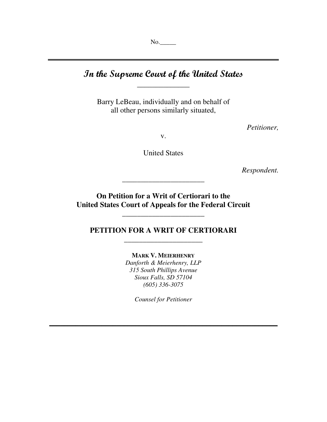No.\_\_\_\_\_

# In the Supreme Court of the United States  $\,$

**\_\_\_\_\_\_\_\_\_\_\_\_\_\_\_\_\_\_\_\_\_\_\_\_\_\_\_\_\_\_\_\_\_\_\_\_\_\_\_\_\_\_\_\_\_\_\_\_\_\_\_\_\_\_\_\_\_\_\_\_\_\_\_\_\_\_\_\_\_\_\_\_**

Barry LeBeau, individually and on behalf of all other persons similarly situated,

*Petitioner,*

v.

United States

*Respondent.*

**On Petition for a Writ of Certiorari to the United States Court of Appeals for the Federal Circuit**

**\_\_\_\_\_\_\_\_\_\_\_\_\_\_\_\_\_\_\_\_\_\_**

\_\_\_\_\_\_\_\_\_\_\_\_\_\_\_\_\_\_\_\_\_\_

## **PETITION FOR A WRIT OF CERTIORARI \_\_\_\_\_\_\_\_\_\_\_\_\_\_\_\_\_\_\_\_\_**

**MARK V. MEIERHENRY** *Danforth & Meierhenry, LLP 315 South Phillips Avenue Sioux Falls, SD 57104 (605) 336-3075*

*Counsel for Petitioner*

<u> 2000 - Andrea Andrew Maria (h. 1888).</u>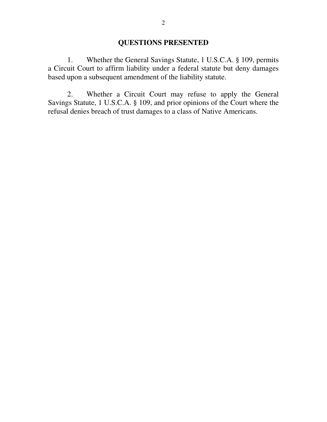#### **QUESTIONS PRESENTED**

1. Whether the General Savings Statute, 1 U.S.C.A. § 109, permits a Circuit Court to affirm liability under a federal statute but deny damages based upon a subsequent amendment of the liability statute.

2. Whether a Circuit Court may refuse to apply the General Savings Statute, 1 U.S.C.A. § 109, and prior opinions of the Court where the refusal denies breach of trust damages to a class of Native Americans.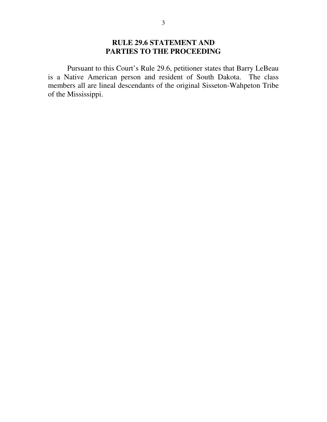## **RULE 29.6 STATEMENT AND PARTIES TO THE PROCEEDING**

Pursuant to this Court's Rule 29.6, petitioner states that Barry LeBeau is a Native American person and resident of South Dakota. The class members all are lineal descendants of the original Sisseton-Wahpeton Tribe of the Mississippi.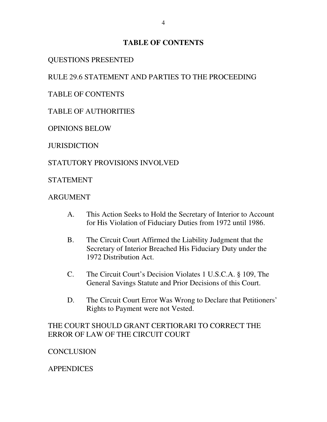### **TABLE OF CONTENTS**

## QUESTIONS PRESENTED

## RULE 29.6 STATEMENT AND PARTIES TO THE PROCEEDING

TABLE OF CONTENTS

## TABLE OF AUTHORITIES

OPINIONS BELOW

**JURISDICTION** 

## STATUTORY PROVISIONS INVOLVED

STATEMENT

## **ARGUMENT**

- A. This Action Seeks to Hold the Secretary of Interior to Account for His Violation of Fiduciary Duties from 1972 until 1986.
- B. The Circuit Court Affirmed the Liability Judgment that the Secretary of Interior Breached His Fiduciary Duty under the 1972 Distribution Act.
- C. The Circuit Court's Decision Violates 1 U.S.C.A. § 109, The General Savings Statute and Prior Decisions of this Court.
- D. The Circuit Court Error Was Wrong to Declare that Petitioners' Rights to Payment were not Vested.

## THE COURT SHOULD GRANT CERTIORARI TO CORRECT THE ERROR OF LAW OF THE CIRCUIT COURT

## **CONCLUSION**

## APPENDICES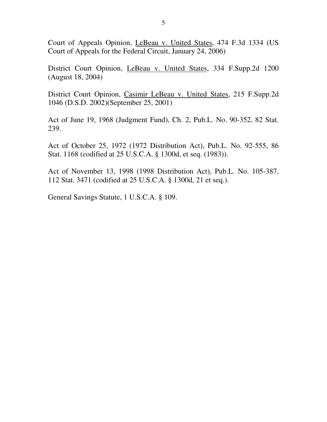Court of Appeals Opinion, LeBeau v. United States, 474 F.3d 1334 (US Court of Appeals for the Federal Circuit, January 24, 2006)

District Court Opinion, LeBeau v. United States, 334 F.Supp.2d 1200 (August 18, 2004)

District Court Opinion, Casimir LeBeau v. United States, 215 F.Supp.2d 1046 (D.S.D. 2002)(September 25, 2001)

Act of June 19, 1968 (Judgment Fund), Ch. 2, Pub.L. No. 90-352, 82 Stat. 239.

Act of October 25, 1972 (1972 Distribution Act), Pub.L. No. 92-555, 86 Stat. 1168 (codified at 25 U.S.C.A. § 1300d, et seq. (1983)).

Act of November 13, 1998 (1998 Distribution Act), Pub.L. No. 105-387, 112 Stat. 3471 (codified at 25 U.S.C.A. § 1300d, 21 et seq.).

General Savings Statute, 1 U.S.C.A. § 109.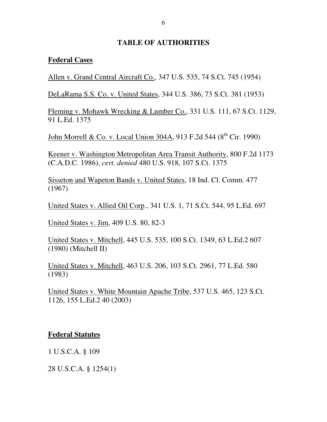#### **TABLE OF AUTHORITIES**

#### **Federal Cases**

Allen v. Grand Central Aircraft Co., 347 U.S. 535, 74 S.Ct. 745 (1954)

DeLaRama S.S. Co. v. United States, 344 U.S. 386, 73 S.Ct. 381 (1953)

Fleming v. Mohawk Wrecking & Lumber Co., 331 U.S. 111, 67 S.Ct. 1129, 91 L.Ed. 1375

John Morrell & Co. v. Local Union 304A, 913 F.2d 544 (8<sup>th</sup> Cir. 1990)

Keener v. Washington Metropolitan Area Transit Authority, 800 F.2d 1173 (C.A.D.C. 1986), *cert. denied* 480 U.S. 918, 107 S.Ct. 1375

Sisseton and Wapeton Bands v. United States, 18 Ind. Cl. Comm. 477 (1967)

United States v. Allied Oil Corp., 341 U.S. 1, 71 S.Ct. 544, 95 L.Ed. 697

United States v. Jim, 409 U.S. 80, 82-3

United States v. Mitchell, 445 U.S. 535, 100 S.Ct. 1349, 63 L.Ed.2 607 (1980) (Mitchell II)

United States v. Mitchell, 463 U.S. 206, 103 S.Ct. 2961, 77 L.Ed. 580 (1983)

United States v. White Mountain Apache Tribe, 537 U.S. 465, 123 S.Ct. 1126, 155 L.Ed.2 40 (2003)

### **Federal Statutes**

1 U.S.C.A. § 109

28 U.S.C.A. § 1254(1)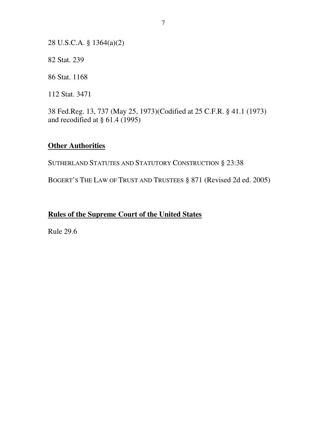28 U.S.C.A. § 1364(a)(2)

82 Stat. 239

86 Stat. 1168

112 Stat. 3471

38 Fed.Reg. 13, 737 (May 25, 1973)(Codified at 25 C.F.R. § 41.1 (1973) and recodified at § 61.4 (1995)

### **Other Authorities**

SUTHERLAND STATUTES AND STATUTORY CONSTRUCTION § 23:38

BOGERT'S THE LAW OF TRUST AND TRUSTEES § 871 (Revised 2d ed. 2005)

## **Rules of the Supreme Court of the United States**

Rule 29.6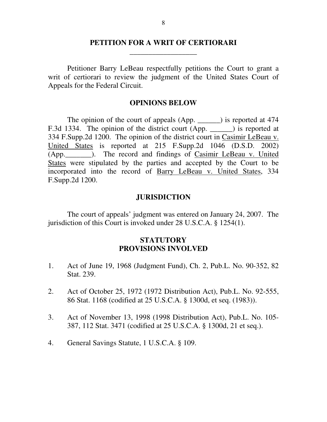### **PETITION FOR A WRIT OF CERTIORARI \_\_\_\_\_\_\_\_\_\_\_\_\_\_\_\_\_\_**

Petitioner Barry LeBeau respectfully petitions the Court to grant a writ of certiorari to review the judgment of the United States Court of Appeals for the Federal Circuit.

#### **OPINIONS BELOW**

The opinion of the court of appeals (App. \_\_\_\_\_\_) is reported at 474 F.3d 1334. The opinion of the district court (App. \_\_\_\_\_\_) is reported at 334 F.Supp.2d 1200. The opinion of the district court in Casimir LeBeau v. United States is reported at 215 F.Supp.2d 1046 (D.S.D. 2002) (App. ). The record and findings of Casimir LeBeau v. United States were stipulated by the parties and accepted by the Court to be incorporated into the record of Barry LeBeau v. United States, 334 F.Supp.2d 1200.

#### **JURISDICTION**

The court of appeals' judgment was entered on January 24, 2007. The jurisdiction of this Court is invoked under 28 U.S.C.A. § 1254(1).

#### **STATUTORY PROVISIONS INVOLVED**

- 1. Act of June 19, 1968 (Judgment Fund), Ch. 2, Pub.L. No. 90-352, 82 Stat. 239.
- 2. Act of October 25, 1972 (1972 Distribution Act), Pub.L. No. 92-555, 86 Stat. 1168 (codified at 25 U.S.C.A. § 1300d, et seq. (1983)).
- 3. Act of November 13, 1998 (1998 Distribution Act), Pub.L. No. 105- 387, 112 Stat. 3471 (codified at 25 U.S.C.A. § 1300d, 21 et seq.).
- 4. General Savings Statute, 1 U.S.C.A. § 109.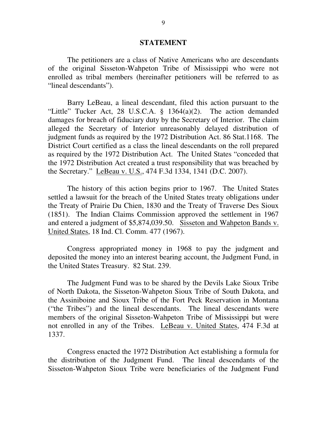#### **STATEMENT**

The petitioners are a class of Native Americans who are descendants of the original Sisseton-Wahpeton Tribe of Mississippi who were not enrolled as tribal members (hereinafter petitioners will be referred to as "lineal descendants").

Barry LeBeau, a lineal descendant, filed this action pursuant to the "Little" Tucker Act, 28 U.S.C.A. § 1364(a)(2). The action demanded damages for breach of fiduciary duty by the Secretary of Interior. The claim alleged the Secretary of Interior unreasonably delayed distribution of judgment funds as required by the 1972 Distribution Act. 86 Stat.1168. The District Court certified as a class the lineal descendants on the roll prepared as required by the 1972 Distribution Act. The United States "conceded that the 1972 Distribution Act created a trust responsibility that was breached by the Secretary." LeBeau v. U.S., 474 F.3d 1334, 1341 (D.C. 2007).

The history of this action begins prior to 1967. The United States settled a lawsuit for the breach of the United States treaty obligations under the Treaty of Prairie Du Chien, 1830 and the Treaty of Traverse Des Sioux (1851). The Indian Claims Commission approved the settlement in 1967 and entered a judgment of \$5,874,039.50. Sisseton and Wahpeton Bands v. United States, 18 Ind. Cl. Comm. 477 (1967).

Congress appropriated money in 1968 to pay the judgment and deposited the money into an interest bearing account, the Judgment Fund, in the United States Treasury. 82 Stat. 239.

The Judgment Fund was to be shared by the Devils Lake Sioux Tribe of North Dakota, the Sisseton-Wahpeton Sioux Tribe of South Dakota, and the Assiniboine and Sioux Tribe of the Fort Peck Reservation in Montana ("the Tribes") and the lineal descendants. The lineal descendants were members of the original Sisseton-Wahpeton Tribe of Mississippi but were not enrolled in any of the Tribes. LeBeau v. United States, 474 F.3d at 1337.

Congress enacted the 1972 Distribution Act establishing a formula for the distribution of the Judgment Fund. The lineal descendants of the Sisseton-Wahpeton Sioux Tribe were beneficiaries of the Judgment Fund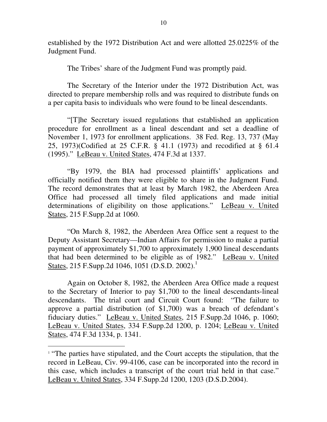established by the 1972 Distribution Act and were allotted 25.0225% of the Judgment Fund.

The Tribes' share of the Judgment Fund was promptly paid.

The Secretary of the Interior under the 1972 Distribution Act, was directed to prepare membership rolls and was required to distribute funds on a per capita basis to individuals who were found to be lineal descendants.

"[T]he Secretary issued regulations that established an application procedure for enrollment as a lineal descendant and set a deadline of November 1, 1973 for enrollment applications. 38 Fed. Reg. 13, 737 (May 25, 1973)(Codified at 25 C.F.R. § 41.1 (1973) and recodified at § 61.4 (1995)." LeBeau v. United States, 474 F.3d at 1337.

"By 1979, the BIA had processed plaintiffs' applications and officially notified them they were eligible to share in the Judgment Fund. The record demonstrates that at least by March 1982, the Aberdeen Area Office had processed all timely filed applications and made initial determinations of eligibility on those applications." LeBeau v. United States, 215 F.Supp.2d at 1060.

"On March 8, 1982, the Aberdeen Area Office sent a request to the Deputy Assistant Secretary—Indian Affairs for permission to make a partial payment of approximately \$1,700 to approximately 1,900 lineal descendants that had been determined to be eligible as of 1982." LeBeau v. United States, 215 F.Supp.2d 1046, 1051 (D.S.D. 2002).<sup>1</sup>

Again on October 8, 1982, the Aberdeen Area Office made a request to the Secretary of Interior to pay \$1,700 to the lineal descendants-lineal descendants. The trial court and Circuit Court found: "The failure to approve a partial distribution (of \$1,700) was a breach of defendant's fiduciary duties." LeBeau v. United States, 215 F.Supp.2d 1046, p. 1060; LeBeau v. United States, 334 F.Supp.2d 1200, p. 1204; LeBeau v. United States, 474 F.3d 1334, p. 1341.

<sup>&</sup>lt;sup>1</sup> "The parties have stipulated, and the Court accepts the stipulation, that the record in LeBeau, Civ. 99-4106, case can be incorporated into the record in this case, which includes a transcript of the court trial held in that case." LeBeau v. United States, 334 F.Supp.2d 1200, 1203 (D.S.D.2004).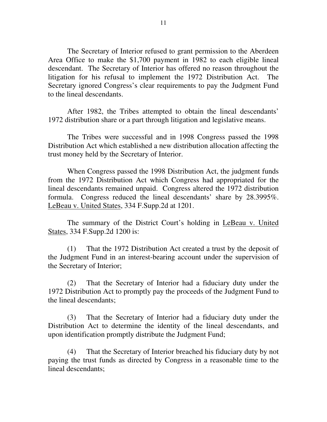The Secretary of Interior refused to grant permission to the Aberdeen Area Office to make the \$1,700 payment in 1982 to each eligible lineal descendant. The Secretary of Interior has offered no reason throughout the litigation for his refusal to implement the 1972 Distribution Act. The Secretary ignored Congress's clear requirements to pay the Judgment Fund to the lineal descendants.

After 1982, the Tribes attempted to obtain the lineal descendants' 1972 distribution share or a part through litigation and legislative means.

The Tribes were successful and in 1998 Congress passed the 1998 Distribution Act which established a new distribution allocation affecting the trust money held by the Secretary of Interior.

When Congress passed the 1998 Distribution Act, the judgment funds from the 1972 Distribution Act which Congress had appropriated for the lineal descendants remained unpaid. Congress altered the 1972 distribution formula. Congress reduced the lineal descendants' share by 28.3995%. LeBeau v. United States, 334 F.Supp.2d at 1201.

The summary of the District Court's holding in LeBeau v. United States, 334 F.Supp.2d 1200 is:

(1) That the 1972 Distribution Act created a trust by the deposit of the Judgment Fund in an interest-bearing account under the supervision of the Secretary of Interior;

(2) That the Secretary of Interior had a fiduciary duty under the 1972 Distribution Act to promptly pay the proceeds of the Judgment Fund to the lineal descendants;

(3) That the Secretary of Interior had a fiduciary duty under the Distribution Act to determine the identity of the lineal descendants, and upon identification promptly distribute the Judgment Fund;

(4) That the Secretary of Interior breached his fiduciary duty by not paying the trust funds as directed by Congress in a reasonable time to the lineal descendants;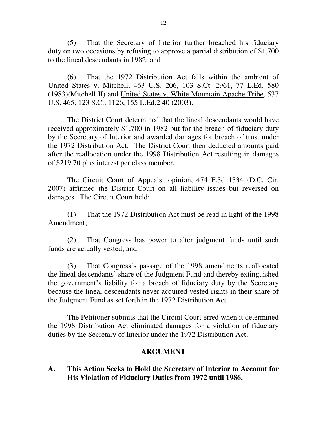(5) That the Secretary of Interior further breached his fiduciary duty on two occasions by refusing to approve a partial distribution of \$1,700 to the lineal descendants in 1982; and

(6) That the 1972 Distribution Act falls within the ambient of United States v. Mitchell, 463 U.S. 206, 103 S.Ct. 2961, 77 L.Ed. 580 (1983)(Mitchell II) and United States v. White Mountain Apache Tribe, 537 U.S. 465, 123 S.Ct. 1126, 155 L.Ed.2 40 (2003).

The District Court determined that the lineal descendants would have received approximately \$1,700 in 1982 but for the breach of fiduciary duty by the Secretary of Interior and awarded damages for breach of trust under the 1972 Distribution Act. The District Court then deducted amounts paid after the reallocation under the 1998 Distribution Act resulting in damages of \$219.70 plus interest per class member.

The Circuit Court of Appeals' opinion, 474 F.3d 1334 (D.C. Cir. 2007) affirmed the District Court on all liability issues but reversed on damages. The Circuit Court held:

(1) That the 1972 Distribution Act must be read in light of the 1998 Amendment;

(2) That Congress has power to alter judgment funds until such funds are actually vested; and

(3) That Congress's passage of the 1998 amendments reallocated the lineal descendants' share of the Judgment Fund and thereby extinguished the government's liability for a breach of fiduciary duty by the Secretary because the lineal descendants never acquired vested rights in their share of the Judgment Fund as set forth in the 1972 Distribution Act.

The Petitioner submits that the Circuit Court erred when it determined the 1998 Distribution Act eliminated damages for a violation of fiduciary duties by the Secretary of Interior under the 1972 Distribution Act.

### **ARGUMENT**

### **A. This Action Seeks to Hold the Secretary of Interior to Account for His Violation of Fiduciary Duties from 1972 until 1986.**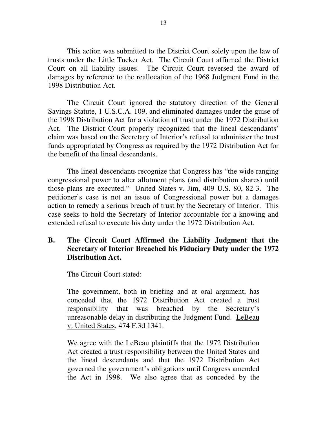This action was submitted to the District Court solely upon the law of trusts under the Little Tucker Act. The Circuit Court affirmed the District Court on all liability issues. The Circuit Court reversed the award of damages by reference to the reallocation of the 1968 Judgment Fund in the 1998 Distribution Act.

The Circuit Court ignored the statutory direction of the General Savings Statute, 1 U.S.C.A. 109, and eliminated damages under the guise of the 1998 Distribution Act for a violation of trust under the 1972 Distribution Act. The District Court properly recognized that the lineal descendants' claim was based on the Secretary of Interior's refusal to administer the trust funds appropriated by Congress as required by the 1972 Distribution Act for the benefit of the lineal descendants.

The lineal descendants recognize that Congress has "the wide ranging congressional power to alter allotment plans (and distribution shares) until those plans are executed." United States v. Jim, 409 U.S. 80, 82-3. The petitioner's case is not an issue of Congressional power but a damages action to remedy a serious breach of trust by the Secretary of Interior. This case seeks to hold the Secretary of Interior accountable for a knowing and extended refusal to execute his duty under the 1972 Distribution Act.

## **B. The Circuit Court Affirmed the Liability Judgment that the Secretary of Interior Breached his Fiduciary Duty under the 1972 Distribution Act.**

The Circuit Court stated:

The government, both in briefing and at oral argument, has conceded that the 1972 Distribution Act created a trust responsibility that was breached by the Secretary's unreasonable delay in distributing the Judgment Fund. LeBeau v. United States, 474 F.3d 1341.

We agree with the LeBeau plaintiffs that the 1972 Distribution Act created a trust responsibility between the United States and the lineal descendants and that the 1972 Distribution Act governed the government's obligations until Congress amended the Act in 1998. We also agree that as conceded by the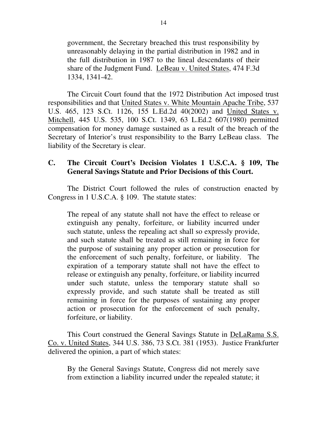government, the Secretary breached this trust responsibility by unreasonably delaying in the partial distribution in 1982 and in the full distribution in 1987 to the lineal descendants of their share of the Judgment Fund. LeBeau v. United States, 474 F.3d 1334, 1341-42.

The Circuit Court found that the 1972 Distribution Act imposed trust responsibilities and that United States v. White Mountain Apache Tribe, 537 U.S. 465, 123 S.Ct. 1126, 155 L.Ed.2d 40(2002) and United States v. Mitchell, 445 U.S. 535, 100 S.Ct. 1349, 63 L.Ed.2 607(1980) permitted compensation for money damage sustained as a result of the breach of the Secretary of Interior's trust responsibility to the Barry LeBeau class. The liability of the Secretary is clear.

### **C. The Circuit Court's Decision Violates 1 U.S.C.A. § 109, The General Savings Statute and Prior Decisions of this Court.**

The District Court followed the rules of construction enacted by Congress in 1 U.S.C.A. § 109. The statute states:

The repeal of any statute shall not have the effect to release or extinguish any penalty, forfeiture, or liability incurred under such statute, unless the repealing act shall so expressly provide, and such statute shall be treated as still remaining in force for the purpose of sustaining any proper action or prosecution for the enforcement of such penalty, forfeiture, or liability. The expiration of a temporary statute shall not have the effect to release or extinguish any penalty, forfeiture, or liability incurred under such statute, unless the temporary statute shall so expressly provide, and such statute shall be treated as still remaining in force for the purposes of sustaining any proper action or prosecution for the enforcement of such penalty, forfeiture, or liability.

This Court construed the General Savings Statute in DeLaRama S.S. Co. v. United States, 344 U.S. 386, 73 S.Ct. 381 (1953). Justice Frankfurter delivered the opinion, a part of which states:

By the General Savings Statute, Congress did not merely save from extinction a liability incurred under the repealed statute; it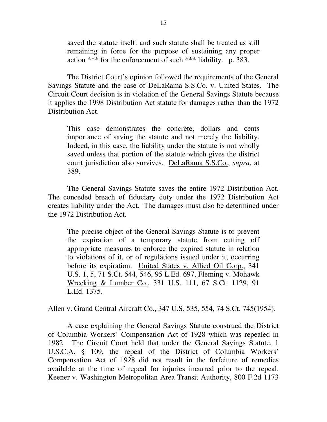saved the statute itself: and such statute shall be treated as still remaining in force for the purpose of sustaining any proper action \*\*\* for the enforcement of such \*\*\* liability. p. 383.

The District Court's opinion followed the requirements of the General Savings Statute and the case of DeLaRama S.S.Co. v. United States. The Circuit Court decision is in violation of the General Savings Statute because it applies the 1998 Distribution Act statute for damages rather than the 1972 Distribution Act.

This case demonstrates the concrete, dollars and cents importance of saving the statute and not merely the liability. Indeed, in this case, the liability under the statute is not wholly saved unless that portion of the statute which gives the district court jurisdiction also survives. DeLaRama S.S.Co., *supra*, at 389.

The General Savings Statute saves the entire 1972 Distribution Act. The conceded breach of fiduciary duty under the 1972 Distribution Act creates liability under the Act. The damages must also be determined under the 1972 Distribution Act.

The precise object of the General Savings Statute is to prevent the expiration of a temporary statute from cutting off appropriate measures to enforce the expired statute in relation to violations of it, or of regulations issued under it, occurring before its expiration. United States v. Allied Oil Corp., 341 U.S. 1, 5, 71 S.Ct. 544, 546, 95 L.Ed. 697, Fleming v. Mohawk Wrecking & Lumber Co., 331 U.S. 111, 67 S.Ct. 1129, 91 L.Ed. 1375.

Allen v. Grand Central Aircraft Co., 347 U.S. 535, 554, 74 S.Ct. 745(1954).

A case explaining the General Savings Statute construed the District of Columbia Workers' Compensation Act of 1928 which was repealed in 1982. The Circuit Court held that under the General Savings Statute, 1 U.S.C.A. § 109, the repeal of the District of Columbia Workers' Compensation Act of 1928 did not result in the forfeiture of remedies available at the time of repeal for injuries incurred prior to the repeal. Keener v. Washington Metropolitan Area Transit Authority, 800 F.2d 1173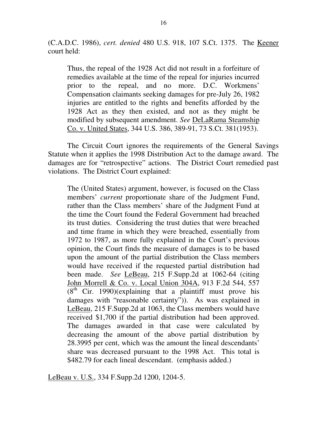(C.A.D.C. 1986), *cert. denied* 480 U.S. 918, 107 S.Ct. 1375. The Keener court held:

Thus, the repeal of the 1928 Act did not result in a forfeiture of remedies available at the time of the repeal for injuries incurred prior to the repeal, and no more. D.C. Workmens' Compensation claimants seeking damages for pre-July 26, 1982 injuries are entitled to the rights and benefits afforded by the 1928 Act as they then existed, and not as they might be modified by subsequent amendment. *See* DeLaRama Steamship Co. v. United States, 344 U.S. 386, 389-91, 73 S.Ct. 381(1953).

The Circuit Court ignores the requirements of the General Savings Statute when it applies the 1998 Distribution Act to the damage award. The damages are for "retrospective" actions. The District Court remedied past violations. The District Court explained:

The (United States) argument, however, is focused on the Class members' *current* proportionate share of the Judgment Fund, rather than the Class members' share of the Judgment Fund at the time the Court found the Federal Government had breached its trust duties. Considering the trust duties that were breached and time frame in which they were breached, essentially from 1972 to 1987, as more fully explained in the Court's previous opinion, the Court finds the measure of damages is to be based upon the amount of the partial distribution the Class members would have received if the requested partial distribution had been made. *See* LeBeau, 215 F.Supp.2d at 1062-64 (citing John Morrell & Co. v. Local Union 304A, 913 F.2d 544, 557  $(8<sup>th</sup>$  Cir. 1990)(explaining that a plaintiff must prove his damages with "reasonable certainty")). As was explained in LeBeau, 215 F.Supp.2d at 1063, the Class members would have received \$1,700 if the partial distribution had been approved. The damages awarded in that case were calculated by decreasing the amount of the above partial distribution by 28.3995 per cent, which was the amount the lineal descendants' share was decreased pursuant to the 1998 Act. This total is \$482.79 for each lineal descendant. (emphasis added.)

LeBeau v. U.S., 334 F.Supp.2d 1200, 1204-5.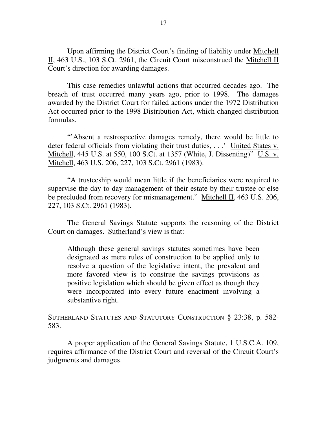Upon affirming the District Court's finding of liability under Mitchell II, 463 U.S., 103 S.Ct. 2961, the Circuit Court misconstrued the Mitchell II Court's direction for awarding damages.

This case remedies unlawful actions that occurred decades ago. The breach of trust occurred many years ago, prior to 1998. The damages awarded by the District Court for failed actions under the 1972 Distribution Act occurred prior to the 1998 Distribution Act, which changed distribution formulas.

"'Absent a restrospective damages remedy, there would be little to deter federal officials from violating their trust duties, . . .' United States v. Mitchell, 445 U.S. at 550, 100 S.Ct. at 1357 (White, J. Dissenting)" U.S. v. Mitchell, 463 U.S. 206, 227, 103 S.Ct. 2961 (1983).

"A trusteeship would mean little if the beneficiaries were required to supervise the day-to-day management of their estate by their trustee or else be precluded from recovery for mismanagement." Mitchell II, 463 U.S. 206, 227, 103 S.Ct. 2961 (1983).

The General Savings Statute supports the reasoning of the District Court on damages. Sutherland's view is that:

Although these general savings statutes sometimes have been designated as mere rules of construction to be applied only to resolve a question of the legislative intent, the prevalent and more favored view is to construe the savings provisions as positive legislation which should be given effect as though they were incorporated into every future enactment involving a substantive right.

SUTHERLAND STATUTES AND STATUTORY CONSTRUCTION § 23:38, p. 582- 583.

A proper application of the General Savings Statute, 1 U.S.C.A. 109, requires affirmance of the District Court and reversal of the Circuit Court's judgments and damages.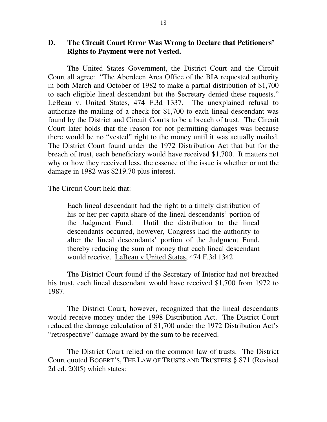#### **D. The Circuit Court Error Was Wrong to Declare that Petitioners' Rights to Payment were not Vested.**

The United States Government, the District Court and the Circuit Court all agree: "The Aberdeen Area Office of the BIA requested authority in both March and October of 1982 to make a partial distribution of \$1,700 to each eligible lineal descendant but the Secretary denied these requests." LeBeau v. United States, 474 F.3d 1337. The unexplained refusal to authorize the mailing of a check for \$1,700 to each lineal descendant was found by the District and Circuit Courts to be a breach of trust. The Circuit Court later holds that the reason for not permitting damages was because there would be no "vested" right to the money until it was actually mailed. The District Court found under the 1972 Distribution Act that but for the breach of trust, each beneficiary would have received \$1,700. It matters not why or how they received less, the essence of the issue is whether or not the damage in 1982 was \$219.70 plus interest.

The Circuit Court held that:

Each lineal descendant had the right to a timely distribution of his or her per capita share of the lineal descendants' portion of the Judgment Fund. Until the distribution to the lineal descendants occurred, however, Congress had the authority to alter the lineal descendants' portion of the Judgment Fund, thereby reducing the sum of money that each lineal descendant would receive. LeBeau v United States, 474 F.3d 1342.

The District Court found if the Secretary of Interior had not breached his trust, each lineal descendant would have received \$1,700 from 1972 to 1987.

The District Court, however, recognized that the lineal descendants would receive money under the 1998 Distribution Act. The District Court reduced the damage calculation of \$1,700 under the 1972 Distribution Act's "retrospective" damage award by the sum to be received.

The District Court relied on the common law of trusts. The District Court quoted BOGERT'S, THE LAW OF TRUSTS AND TRUSTEES § 871 (Revised 2d ed. 2005) which states: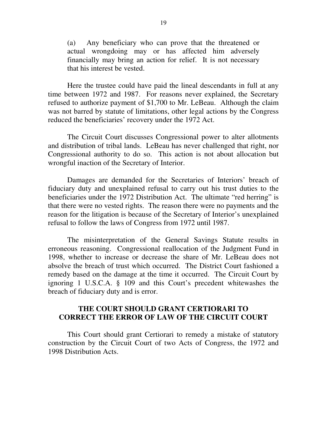(a) Any beneficiary who can prove that the threatened or actual wrongdoing may or has affected him adversely financially may bring an action for relief. It is not necessary that his interest be vested.

Here the trustee could have paid the lineal descendants in full at any time between 1972 and 1987. For reasons never explained, the Secretary refused to authorize payment of \$1,700 to Mr. LeBeau. Although the claim was not barred by statute of limitations, other legal actions by the Congress reduced the beneficiaries' recovery under the 1972 Act.

The Circuit Court discusses Congressional power to alter allotments and distribution of tribal lands. LeBeau has never challenged that right, nor Congressional authority to do so. This action is not about allocation but wrongful inaction of the Secretary of Interior.

Damages are demanded for the Secretaries of Interiors' breach of fiduciary duty and unexplained refusal to carry out his trust duties to the beneficiaries under the 1972 Distribution Act. The ultimate "red herring" is that there were no vested rights. The reason there were no payments and the reason for the litigation is because of the Secretary of Interior's unexplained refusal to follow the laws of Congress from 1972 until 1987.

The misinterpretation of the General Savings Statute results in erroneous reasoning. Congressional reallocation of the Judgment Fund in 1998, whether to increase or decrease the share of Mr. LeBeau does not absolve the breach of trust which occurred. The District Court fashioned a remedy based on the damage at the time it occurred. The Circuit Court by ignoring 1 U.S.C.A. § 109 and this Court's precedent whitewashes the breach of fiduciary duty and is error.

#### **THE COURT SHOULD GRANT CERTIORARI TO CORRECT THE ERROR OF LAW OF THE CIRCUIT COURT**

This Court should grant Certiorari to remedy a mistake of statutory construction by the Circuit Court of two Acts of Congress, the 1972 and 1998 Distribution Acts.